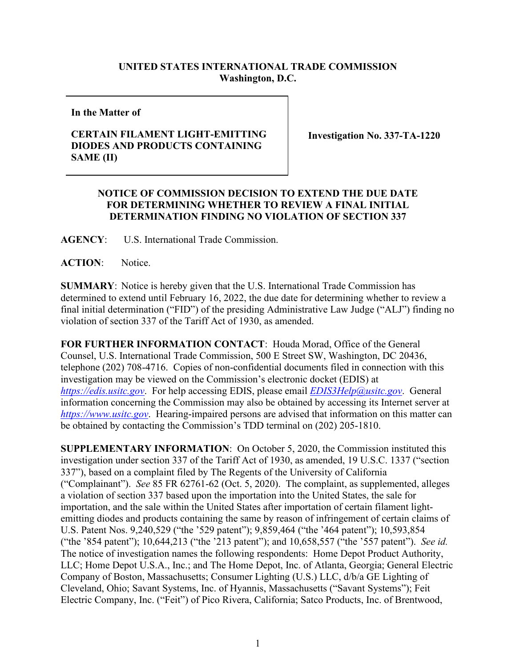## **UNITED STATES INTERNATIONAL TRADE COMMISSION Washington, D.C.**

**In the Matter of**

## **CERTAIN FILAMENT LIGHT-EMITTING DIODES AND PRODUCTS CONTAINING SAME (II)**

**Investigation No. 337-TA-1220**

## **NOTICE OF COMMISSION DECISION TO EXTEND THE DUE DATE FOR DETERMINING WHETHER TO REVIEW A FINAL INITIAL DETERMINATION FINDING NO VIOLATION OF SECTION 337**

**AGENCY**: U.S. International Trade Commission.

ACTION: Notice.

**SUMMARY**: Notice is hereby given that the U.S. International Trade Commission has determined to extend until February 16, 2022, the due date for determining whether to review a final initial determination ("FID") of the presiding Administrative Law Judge ("ALJ") finding no violation of section 337 of the Tariff Act of 1930, as amended.

**FOR FURTHER INFORMATION CONTACT**: Houda Morad, Office of the General Counsel, U.S. International Trade Commission, 500 E Street SW, Washington, DC 20436, telephone (202) 708-4716. Copies of non-confidential documents filed in connection with this investigation may be viewed on the Commission's electronic docket (EDIS) at *[https://edis.usitc.gov](https://edis.usitc.gov/)*. For help accessing EDIS, please email *[EDIS3Help@usitc.gov](mailto:EDIS3Help@usitc.gov)*. General information concerning the Commission may also be obtained by accessing its Internet server at *[https://www.usitc.gov](https://www.usitc.gov/)*. Hearing-impaired persons are advised that information on this matter can be obtained by contacting the Commission's TDD terminal on (202) 205-1810.

**SUPPLEMENTARY INFORMATION**: On October 5, 2020, the Commission instituted this investigation under section 337 of the Tariff Act of 1930, as amended, 19 U.S.C. 1337 ("section 337"), based on a complaint filed by The Regents of the University of California ("Complainant"). *See* 85 FR 62761-62 (Oct. 5, 2020). The complaint, as supplemented, alleges a violation of section 337 based upon the importation into the United States, the sale for importation, and the sale within the United States after importation of certain filament lightemitting diodes and products containing the same by reason of infringement of certain claims of U.S. Patent Nos. 9,240,529 ("the '529 patent"); 9,859,464 ("the '464 patent"); 10,593,854 ("the '854 patent"); 10,644,213 ("the '213 patent"); and 10,658,557 ("the '557 patent"). *See id.* The notice of investigation names the following respondents: Home Depot Product Authority, LLC; Home Depot U.S.A., Inc.; and The Home Depot, Inc. of Atlanta, Georgia; General Electric Company of Boston, Massachusetts; Consumer Lighting (U.S.) LLC, d/b/a GE Lighting of Cleveland, Ohio; Savant Systems, Inc. of Hyannis, Massachusetts ("Savant Systems"); Feit Electric Company, Inc. ("Feit") of Pico Rivera, California; Satco Products, Inc. of Brentwood,